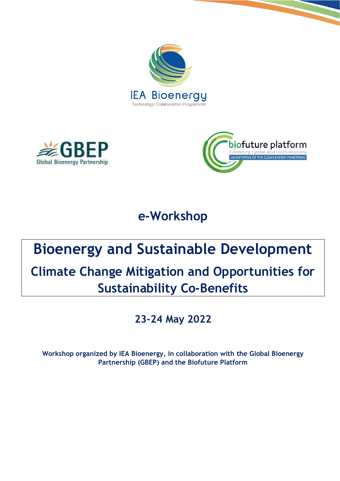





**e-Workshop** 

# **Bioenergy and Sustainable Development**

## **Climate Change Mitigation and Opportunities for Sustainability Co-Benefits**

### **23-24 May 2022**

**Workshop organized by IEA Bioenergy, in collaboration with the Global Bioenergy Partnership (GBEP) and the Biofuture Platform**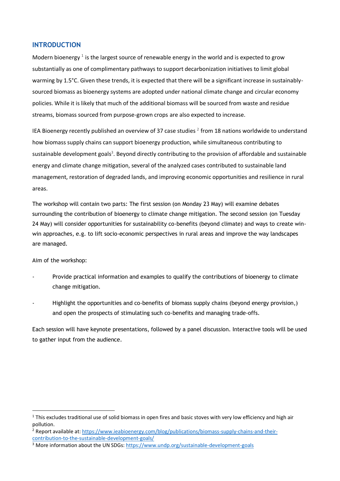#### **INTRODUCTION**

Modern bioenergy  $^1$  is the largest source of renewable energy in the world and is expected to grow substantially as one of complimentary pathways to support decarbonization initiatives to limit global warming by 1.5°C. Given these trends, it is expected that there will be a significant increase in sustainablysourced biomass as bioenergy systems are adopted under national climate change and circular economy policies. While it is likely that much of the additional biomass will be sourced from waste and residue streams, biomass sourced from purpose-grown crops are also expected to increase.

IEA Bioenergy recently published an overview of 37 case studies  $^2$  from 18 nations worldwide to understand how biomass supply chains can support bioenergy production, while simultaneous contributing to sustainable development goals<sup>3</sup>. Beyond directly contributing to the provision of affordable and sustainable energy and climate change mitigation, several of the analyzed cases contributed to sustainable land management, restoration of degraded lands, and improving economic opportunities and resilience in rural areas.

The workshop will contain two parts: The first session (on Monday 23 May) will examine debates surrounding the contribution of bioenergy to climate change mitigation. The second session (on Tuesday 24 May) will consider opportunities for sustainability co-benefits (beyond climate) and ways to create winwin approaches, e.g. to lift socio-economic perspectives in rural areas and improve the way landscapes are managed.

Aim of the workshop:

- Provide practical information and examples to qualify the contributions of bioenergy to climate change mitigation.
- Highlight the opportunities and co-benefits of biomass supply chains (beyond energy provision,) and open the prospects of stimulating such co-benefits and managing trade-offs.

Each session will have keynote presentations, followed by a panel discussion. Interactive tools will be used to gather input from the audience.

 $1$  This excludes traditional use of solid biomass in open fires and basic stoves with very low efficiency and high air pollution.

<sup>2</sup> Report available at[: https://www.ieabioenergy.com/blog/publications/biomass-supply-chains-and-their](https://www.ieabioenergy.com/blog/publications/biomass-supply-chains-and-their-contribution-to-the-sustainable-development-goals/)[contribution-to-the-sustainable-development-goals/](https://www.ieabioenergy.com/blog/publications/biomass-supply-chains-and-their-contribution-to-the-sustainable-development-goals/)

<sup>&</sup>lt;sup>3</sup> More information about the UN SDGs[: https://www.undp.org/sustainable-development-goals](https://www.undp.org/sustainable-development-goals)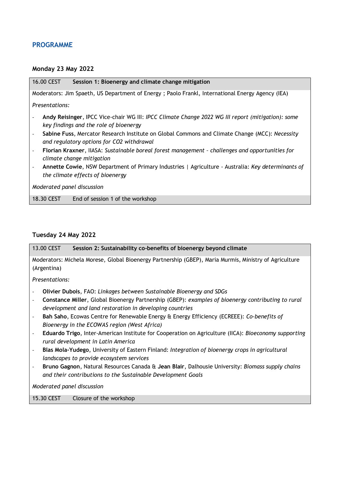#### **PROGRAMME**

#### **Monday 23 May 2022**

| 16.00 CEST<br>Session 1: Bioenergy and climate change mitigation                                                                                                        |
|-------------------------------------------------------------------------------------------------------------------------------------------------------------------------|
| Moderators: Jim Spaeth, US Department of Energy ; Paolo Frankl, International Energy Agency (IEA)                                                                       |
| Presentations:                                                                                                                                                          |
| Andy Reisinger, IPCC Vice-chair WG III: IPCC Climate Change 2022 WG III report (mitigation): some<br>$\overline{\phantom{a}}$<br>key findings and the role of bioenergy |
| Sabine Fuss, Mercator Research Institute on Global Commons and Climate Change (MCC): Necessity<br>$\overline{\phantom{a}}$<br>and regulatory options for CO2 withdrawal |
| Florian Kraxner, IIASA: Sustainable boreal forest management - challenges and opportunities for<br>$\overline{\phantom{a}}$<br>climate change mitigation                |
| Annette Cowie, NSW Department of Primary Industries   Agriculture - Australia: Key determinants of<br>$\overline{\phantom{a}}$<br>the climate effects of bioenergy      |
| Moderated panel discussion                                                                                                                                              |
| 18.30 CEST<br>End of session 1 of the workshop                                                                                                                          |
|                                                                                                                                                                         |

#### **Tuesday 24 May 2022**

13.00 CEST **Session 2: Sustainability co-benefits of bioenergy beyond climate**

Moderators: Michela Morese, Global Bioenergy Partnership (GBEP), Maria Murmis, Ministry of Agriculture (Argentina)

*Presentations:*

- **Olivier Dubois**, FAO: *Linkages between Sustainable Bioenergy and SDGs*
- **Constance Miller**, Global Bioenergy Partnership (GBEP): *examples of bioenergy contributing to rural development and land restoration in developing countries*
- **Bah Saho**, Ecowas Centre for Renewable Energy & Energy Efficiency (ECREEE): *Co-benefits of Bioenergy in the ECOWAS region (West Africa)*
- **Eduardo Trigo**, Inter-American Institute for Cooperation on Agriculture (IICA): *Bioeconomy supporting rural development in Latin America*
- **Blas Mola-Yudego**, University of Eastern Finland: *Integration of bioenergy crops in agricultural landscapes to provide ecosystem services*
- **Bruno Gagnon**, Natural Resources Canada & **Jean Blair**, Dalhousie University: *Biomass supply chains and their contributions to the Sustainable Development Goals*

*Moderated panel discussion*

15.30 CEST Closure of the workshop